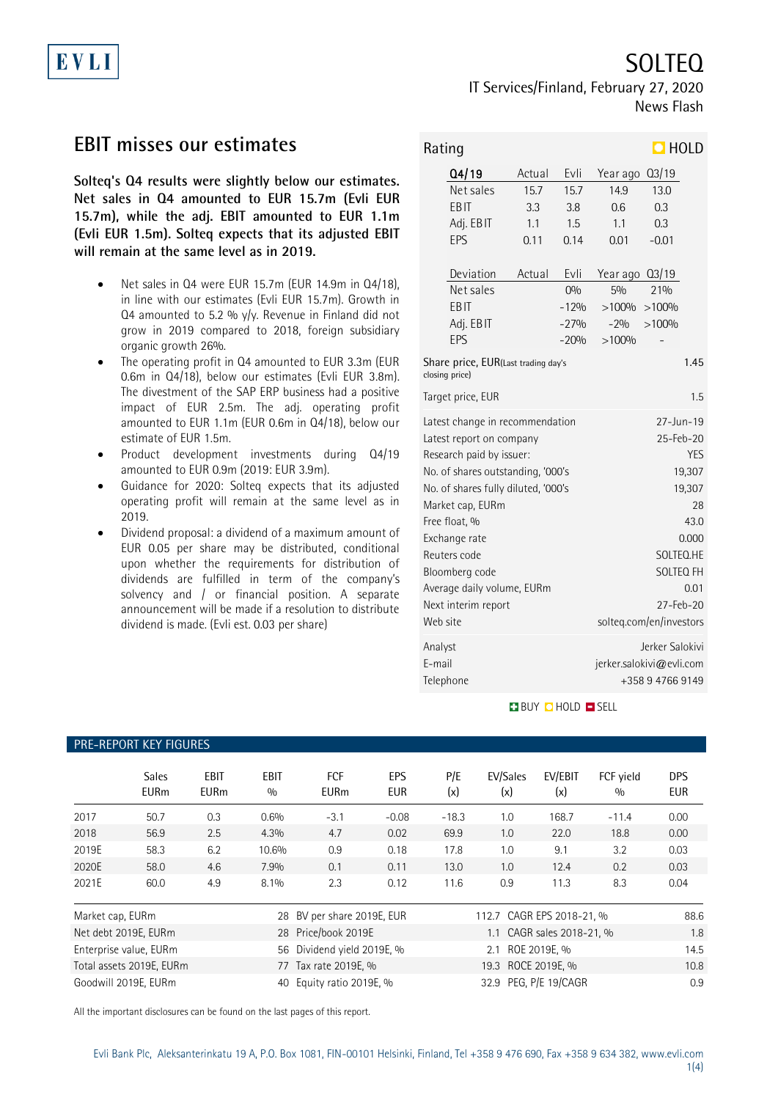

SOLTEQ

IT Services/Finland, February 27, 2020 News Flash

# **EBIT misses our estimates**

**Solteq's Q4 results were slightly below our estimates. Net sales in Q4 amounted to EUR 15.7m (Evli EUR 15.7m), while the adj. EBIT amounted to EUR 1.1m (Evli EUR 1.5m). Solteq expects that its adjusted EBIT will remain at the same level as in 2019.**

- Net sales in Q4 were EUR 15.7m (EUR 14.9m in Q4/18), in line with our estimates (Evli EUR 15.7m). Growth in Q4 amounted to 5.2 %  $y/y$ . Revenue in Finland did not grow in 2019 compared to 2018, foreign subsidiary organic growth 26%.
- The operating profit in Q4 amounted to EUR 3.3m (EUR 0.6m in Q4/18), below our estimates (Evli EUR 3.8m). The divestment of the SAP ERP business had a positive impact of EUR 2.5m. The adj. operating profit amounted to EUR 1.1m (EUR 0.6m in Q4/18), below our estimate of EUR 1.5m.
- Product development investments during Q4/19 amounted to EUR 0.9m (2019: EUR 3.9m).
- Guidance for 2020: Solteq expects that its adjusted operating profit will remain at the same level as in 2019.
- Dividend proposal: a dividend of a maximum amount of EUR 0.05 per share may be distributed, conditional upon whether the requirements for distribution of dividends are fulfilled in term of the company's solvency and / or financial position. A separate announcement will be made if a resolution to distribute dividend is made. (Evli est. 0.03 per share)

| $\Box$ HOLD<br>Rating                                                          |                                                                                                                                                                                                                                                                                                                  |                                                                                                                                                                             |                                                                                  |                                                                                           |                                                                 |     |  |  |  |
|--------------------------------------------------------------------------------|------------------------------------------------------------------------------------------------------------------------------------------------------------------------------------------------------------------------------------------------------------------------------------------------------------------|-----------------------------------------------------------------------------------------------------------------------------------------------------------------------------|----------------------------------------------------------------------------------|-------------------------------------------------------------------------------------------|-----------------------------------------------------------------|-----|--|--|--|
|                                                                                | Q4/19<br>Net sales<br>EBIT<br>Adj. EBIT<br>EPS<br>Deviation<br>Net sales<br>EBIT<br>Adj. EBIT                                                                                                                                                                                                                    | Actual<br>15.7<br>3.3<br>1.1<br>0.11<br>Actual                                                                                                                              | Evli<br>15.7<br>3.8<br>1.5<br>0.14<br>Evli<br>O <sub>0</sub><br>$-12%$<br>$-27%$ | Year ago<br>14.9<br>0.6<br>1.1<br>0.01<br>Year ago 03/19<br>5%<br>>100%<br>$-2%$<br>>100% | Q3/19<br>13.0<br>0.3<br>0.3<br>$-0.01$<br>21%<br>>100%<br>>100% |     |  |  |  |
| EPS<br>$-20%$<br>Share price, EUR(Last trading day's<br>1.45<br>closing price) |                                                                                                                                                                                                                                                                                                                  |                                                                                                                                                                             |                                                                                  |                                                                                           |                                                                 |     |  |  |  |
|                                                                                | Target price, EUR                                                                                                                                                                                                                                                                                                |                                                                                                                                                                             |                                                                                  |                                                                                           |                                                                 | 1.5 |  |  |  |
| Web site                                                                       | Latest change in recommendation<br>Latest report on company<br>Research paid by issuer:<br>No. of shares outstanding, '000's<br>No. of shares fully diluted, '000's<br>Market cap, EURm<br>Free float, %<br>Exchange rate<br>Reuters code<br>Bloomberg code<br>Average daily volume, EURm<br>Next interim report | $27 - Jun - 19$<br>$25 - Feb - 20$<br><b>YES</b><br>19,307<br>19,307<br>28<br>43.0<br>0.000<br>SOLTEQ.HE<br>SOLTEQ FH<br>0.01<br>$27 - Feb - 20$<br>solteq.com/en/investors |                                                                                  |                                                                                           |                                                                 |     |  |  |  |
| Analyst<br>F-mail                                                              | Telephone                                                                                                                                                                                                                                                                                                        | Jerker Salokivi<br>jerker.salokivi@evli.com<br>+358 9 4766 9149                                                                                                             |                                                                                  |                                                                                           |                                                                 |     |  |  |  |

**BUY O HOLD O SELL** 

### PRE-REPORT KEY FIGURES

|                                | <b>Sales</b><br><b>EURm</b> | <b>EBIT</b><br><b>EURm</b> | <b>EBIT</b><br>0/0 | <b>FCF</b><br><b>EURm</b>  | EPS<br><b>EUR</b> | P/E<br>(x)                | EV/Sales<br>(x)           | EV/EBIT<br>(x) | FCF vield<br>0/0 | <b>DPS</b><br><b>EUR</b> |
|--------------------------------|-----------------------------|----------------------------|--------------------|----------------------------|-------------------|---------------------------|---------------------------|----------------|------------------|--------------------------|
| 2017                           | 50.7                        | 0.3                        | 0.6%               | $-3.1$                     | $-0.08$           | $-18.3$                   | 1.0                       | 168.7          | $-11.4$          | 0.00                     |
| 2018                           | 56.9                        | 2.5                        | 4.3%               | 4.7                        | 0.02              | 69.9                      | 1.0                       | 22.0           | 18.8             | 0.00                     |
| 2019E                          | 58.3                        | 6.2                        | 10.6%              | 0.9                        | 0.18              | 17.8                      | 1.0                       | 9.1            | 3.2              | 0.03                     |
| 2020E                          | 58.0                        | 4.6                        | 7.9%               | 0.1                        | 0.11              | 13.0                      | 1.0                       | 12.4           | 0.2              | 0.03                     |
| 2021E                          | 60.0                        | 4.9                        | 8.1%               | 2.3                        | 0.12              | 11.6                      | 0.9                       | 11.3           | 8.3              | 0.04                     |
| Market cap, EURm               |                             |                            |                    | 28 BV per share 2019E, EUR |                   |                           | 112.7 CAGR EPS 2018-21, % |                |                  | 88.6                     |
| Net debt 2019E, EURm           |                             |                            |                    | 28 Price/book 2019E        |                   | 1.1 CAGR sales 2018-21, % |                           |                |                  | 1.8                      |
| Enterprise value, EURm         |                             |                            |                    | 56 Dividend yield 2019E, % |                   | ROE 2019E, %<br>2.1       |                           |                |                  | 14.5                     |
| Total assets 2019E, EURm<br>77 |                             |                            |                    | Tax rate 2019E, %          |                   |                           | 19.3 ROCE 2019E. %        |                |                  | 10.8                     |

All the important disclosures can be found on the last pages of this report.

Goodwill 2019E, EURm 40 Equity ratio 2019E, % 32.9 PEG, P/E 19/CAGR 0.9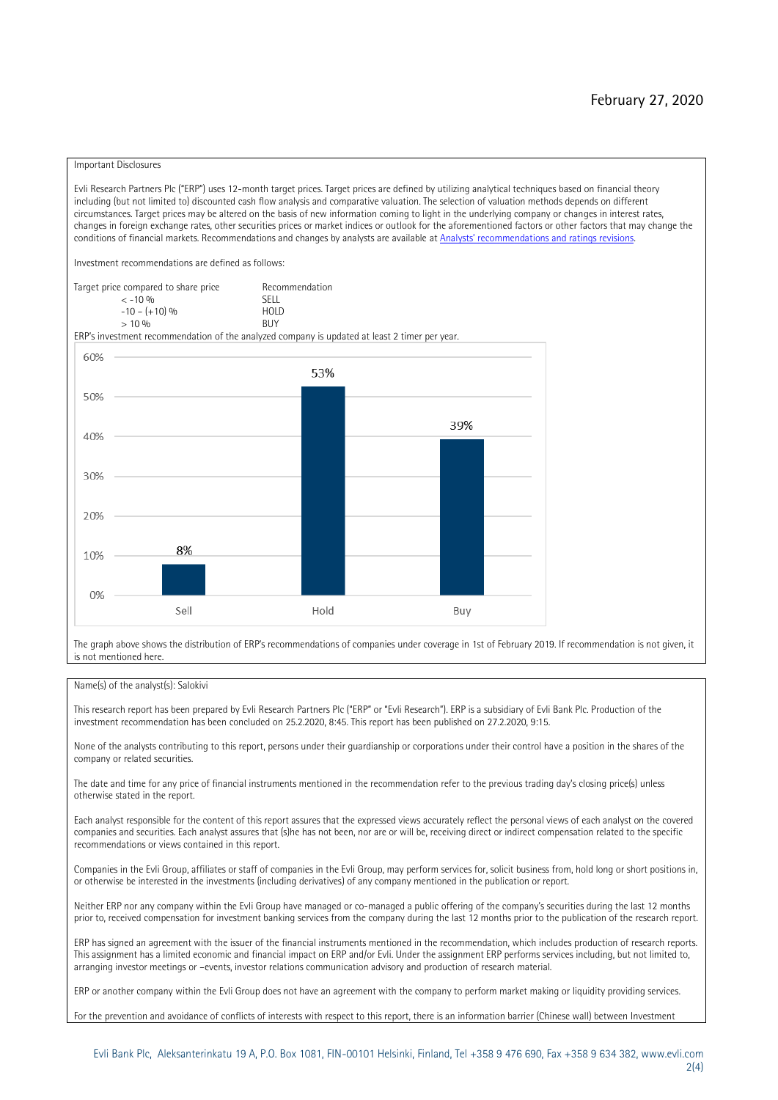#### Important Disclosures

Evli Research Partners Plc ("ERP") uses 12-month target prices. Target prices are defined by utilizing analytical techniques based on financial theory including (but not limited to) discounted cash flow analysis and comparative valuation. The selection of valuation methods depends on different circumstances. Target prices may be altered on the basis of new information coming to light in the underlying company or changes in interest rates, changes in foreign exchange rates, other securities prices or market indices or outlook for the aforementioned factors or other factors that may change the conditions of financial markets. Recommendations and changes by analysts are available at [Analysts' recommendations and ratings revisions](https://research.evli.com/JasperAllModels.action?authParam=key;461&authParam=x;G3rNagWrtf7K&authType=3).

Investment recommendations are defined as follows:

Target price compared to share price Recommendation<br>CELL CALLO 06 < -10 % SELL  $-10 - (+10) \%$  HOL<br>  $> 10 \%$  BUY  $> 10\%$ 

ERP's investment recommendation of the analyzed company is updated at least 2 timer per year.



The graph above shows the distribution of ERP's recommendations of companies under coverage in 1st of February 2019. If recommendation is not given, it is not mentioned here.

#### Name(s) of the analyst(s): Salokivi

This research report has been prepared by Evli Research Partners Plc ("ERP" or "Evli Research"). ERP is a subsidiary of Evli Bank Plc. Production of the investment recommendation has been concluded on 25.2.2020, 8:45. This report has been published on 27.2.2020, 9:15.

None of the analysts contributing to this report, persons under their guardianship or corporations under their control have a position in the shares of the company or related securities.

The date and time for any price of financial instruments mentioned in the recommendation refer to the previous trading day's closing price(s) unless otherwise stated in the report.

Each analyst responsible for the content of this report assures that the expressed views accurately reflect the personal views of each analyst on the covered companies and securities. Each analyst assures that (s)he has not been, nor are or will be, receiving direct or indirect compensation related to the specific recommendations or views contained in this report.

Companies in the Evli Group, affiliates or staff of companies in the Evli Group, may perform services for, solicit business from, hold long or short positions in, or otherwise be interested in the investments (including derivatives) of any company mentioned in the publication or report.

Neither ERP nor any company within the Evli Group have managed or co-managed a public offering of the company's securities during the last 12 months prior to, received compensation for investment banking services from the company during the last 12 months prior to the publication of the research report.

ERP has signed an agreement with the issuer of the financial instruments mentioned in the recommendation, which includes production of research reports. This assignment has a limited economic and financial impact on ERP and/or Evli. Under the assignment ERP performs services including, but not limited to, arranging investor meetings or –events, investor relations communication advisory and production of research material.

ERP or another company within the Evli Group does not have an agreement with the company to perform market making or liquidity providing services.

For the prevention and avoidance of conflicts of interests with respect to this report, there is an information barrier (Chinese wall) between Investment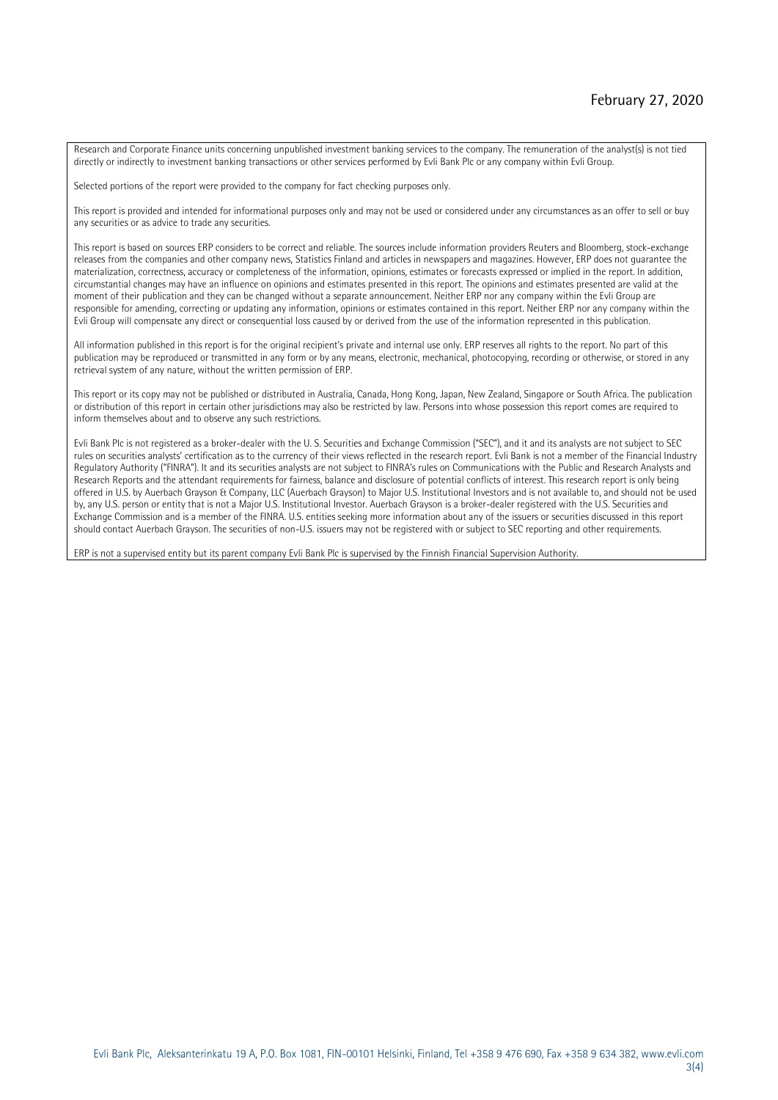Research and Corporate Finance units concerning unpublished investment banking services to the company. The remuneration of the analyst(s) is not tied directly or indirectly to investment banking transactions or other services performed by Evli Bank Plc or any company within Evli Group.

Selected portions of the report were provided to the company for fact checking purposes only.

This report is provided and intended for informational purposes only and may not be used or considered under any circumstances as an offer to sell or buy any securities or as advice to trade any securities.

This report is based on sources ERP considers to be correct and reliable. The sources include information providers Reuters and Bloomberg, stock-exchange releases from the companies and other company news, Statistics Finland and articles in newspapers and magazines. However, ERP does not guarantee the materialization, correctness, accuracy or completeness of the information, opinions, estimates or forecasts expressed or implied in the report. In addition, circumstantial changes may have an influence on opinions and estimates presented in this report. The opinions and estimates presented are valid at the moment of their publication and they can be changed without a separate announcement. Neither ERP nor any company within the Evli Group are responsible for amending, correcting or updating any information, opinions or estimates contained in this report. Neither ERP nor any company within the Evli Group will compensate any direct or consequential loss caused by or derived from the use of the information represented in this publication.

All information published in this report is for the original recipient's private and internal use only. ERP reserves all rights to the report. No part of this publication may be reproduced or transmitted in any form or by any means, electronic, mechanical, photocopying, recording or otherwise, or stored in any retrieval system of any nature, without the written permission of ERP.

This report or its copy may not be published or distributed in Australia, Canada, Hong Kong, Japan, New Zealand, Singapore or South Africa. The publication or distribution of this report in certain other jurisdictions may also be restricted by law. Persons into whose possession this report comes are required to inform themselves about and to observe any such restrictions.

Evli Bank Plc is not registered as a broker-dealer with the U. S. Securities and Exchange Commission ("SEC"), and it and its analysts are not subject to SEC rules on securities analysts' certification as to the currency of their views reflected in the research report. Evli Bank is not a member of the Financial Industry Regulatory Authority ("FINRA"). It and its securities analysts are not subject to FINRA's rules on Communications with the Public and Research Analysts and Research Reports and the attendant requirements for fairness, balance and disclosure of potential conflicts of interest. This research report is only being offered in U.S. by Auerbach Grayson & Company, LLC (Auerbach Grayson) to Major U.S. Institutional Investors and is not available to, and should not be used by, any U.S. person or entity that is not a Major U.S. Institutional Investor. Auerbach Grayson is a broker-dealer registered with the U.S. Securities and Exchange Commission and is a member of the FINRA. U.S. entities seeking more information about any of the issuers or securities discussed in this report should contact Auerbach Grayson. The securities of non-U.S. issuers may not be registered with or subject to SEC reporting and other requirements.

ERP is not a supervised entity but its parent company Evli Bank Plc is supervised by the Finnish Financial Supervision Authority.